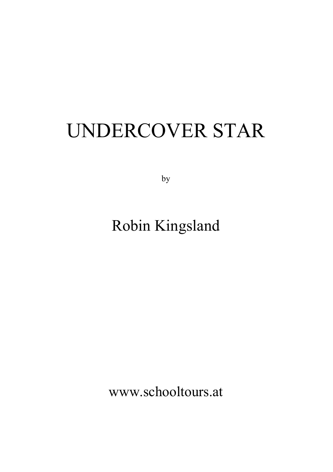# UNDERCOVER STAR

by

# Robin Kingsland

www.schooltours.at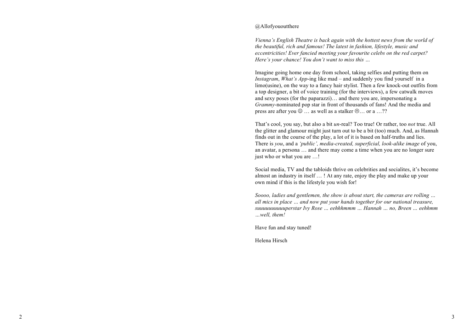### @Allofyououtthere

*Vienna's English Theatre is back again with the hottest news from the world of the beautiful, rich and famous! The latest in fashion, lifestyle, music and eccentricities! Ever fancied meeting your favourite celebs on the red carpet? Here's your chance! You don't want to miss this …*

Imagine going home one day from school, taking selfies and putting them on *Instagram*, *What's App* -ing like mad – and suddenly you find yourself in a limo(usine), on the way to a fancy hair stylist. Then a few knock -out outfits from a top designer, a bit of voice training (for the interviews), a few catwalk moves and sexy poses (for the paparazzi)… and there you are, impersonating a *Grammy* -nominated pop star in front of thousands of fans! And the media and press are after you  $\odot$  ... as well as a stalker  $\odot$  ... or a ...??

That's cool, you say, but also a bit *un* -real? Too true! Or rather, too *not* true. All the glitter and glamour might just turn out to be a bit (too) much. And, as Hannah finds out in the course of the play, a lot of it is based on half-truths and lies. There is *you*, and a *'public', media -created, superficial, look-alike image* of you, an avatar, a persona … and there may come a time when you are no longer sure just who or what you are ...!

Social media, TV and the tabloids thrive on celebrities and socialites, it's become almost an industry in itself … ! At any rate, enjoy the play and make up your own mind if this is the lifestyle you wish for!

*Soooo, ladies and gentlemen, the show is about start, the cameras are rolling … all mics in place … and now put your hands together for our national treasure, suuuuuuuuuuperstar Ivy Rose … eehhhmmm … Hannah … no, Breen … eehhmm …well, them!*

Have fun and stay tuned!

Helena Hirsch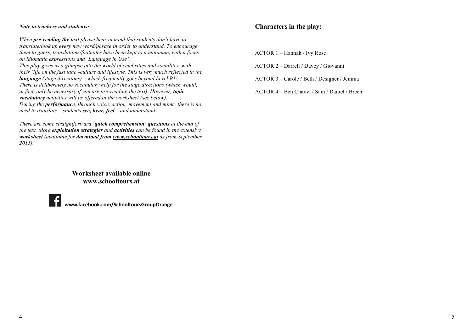### *Note to teachers and students:*

*When pre-reading the text please bear in mind that students don't have to translate/look up every new word/phrase in order to understand. To encourage them to guess, translations/footnotes have been kept to a minimum, with a focus on idiomatic expressions and 'Language in Use'.*

*This play gives us a glimpse into the world of celebrities and socialites, with their 'life on the fast lane'-culture and lifestyle. This is very much reflected in the language (stage directions) – which frequently goes beyond Level B1! There is deliberately no vocabulary help for the stage directions (which would, in fact, only be necessary if you are pre-reading the text). However, topic vocabulary activities will be offered in the worksheet (see below). During the performance, through voice, action, movement and mime, there is no need to translate – students see, hear, feel – and understand.* 

*There are some straightforward 'quick comprehension' questions at the end of the text. More exploitation strategies and activities can be found in the extensive worksheet (available for download from www.schooltours.at as from September 2015).*

> **Worksheet available online www.schooltours.at**



**www.facebook.com/SchooltoursGroupOrange**

### **Characters in the play:**

ACTOR 1 – Hannah / Ivy Rose

ACTOR 2 – Darrell / Davey / Giovanni

ACTOR 3 – Carole / Beth / Designer / Jemma

ACTOR 4 – Ben Chavvi / Sam / Daniel / Breen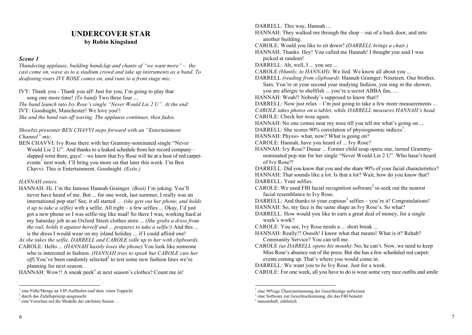### **UNDERCOVER STAR by Robin Kingsland**

### *Scene 1*

*Thundering applause, building handclap and chants of "we want more" – the cast come on, wave as to a stadium crowd and take up instruments as a band. To deafening roars IVY ROSE comes on, and runs to a front stage mic.*

IVY: Thank you - Thank you all! Just for you, I'm going to play that song one more time! *(To band)* Two three four ...

*The band launch into Ivy Rose's single "Never Would Lie 2 U". At the end:* IVY: Goodnight, Manchester! We love you!!

*She and the band run off waving. The applause continues, then fades.* 

*Showbiz presenter BEN CHAVVI steps forward with an "Entertainment Channel" mic.*

BEN CHAVVI: Ivy Rose there with her Grammy-nominated single "Never Would Lie 2 U". And thanks to a leaked schedule from her record company *–* slapped wrist there, guys! *–* we know that Ivy Rose will be at a host of red carpetevents<sup>1</sup> next week. I'll bring you more on that later this week. I'm Ben Chavvi. This is Entertainment. Goodnight. *(Exits.)*

### *HANNAH enters.*

HANNAH: Hi. I'm the famous Hannah Grainger. *(Beat)* I'm joking. You'll never have heard of me. But ... for one week, last summer, I really was an international pop star! See, it all started … *(she gets out her phone, and holds it up to take a selfie)* with a selfie. All right *–* a few selfies ... Okay, I'd just got a new phone so I was selfie-ing like mad! So there I was, working hard at my Saturday job in an Oxford Street clothes store ... *(She grabs a dress from the rail, holds it against herself and ... prepares to take a selfie!)* And this ... is the dress I would wear on my island holiday ... if I could afford one!

*As she takes the selfie, DARRELL and CAROLE sidle up to her with clipboards.* CAROLE: Hello ... *(HANNAH hastily loses the phone)* You look like someone

who is interested in fashion. *(HANNAH tries to speak but CAROLE cuts her off*) You've been randomly selected<sup>2</sup> to test some new fashion lines we're planning for next season.

 $HANNAH: Wow!!$  A sneak peek<sup>3</sup> at next season's clothes? Count me in!

DARRELL: This way, Hannah ... HANNAH: They walked me through the shop – out of a back door, and into another building. CAROLE: Would you like to sit down? *(DARRELL brings a chair.)* HANNAH: Thanks. Hey! You called me Hannah! I thought you said I was picked at random! DARRELL: Ah, well, I ... you see ... CAROLE *(bluntly, to HANNAH)*: We lied. We know all about you ... DARRELL *(reading from clipboard)*: Hannah Grainger. Nineteen. One brother, Sam. You're in your second year studying fashion, you sing in the shower, you are allergic to shellfish ... you're a secret ABBA fan, … HANNAH: Woah!! Nobody's supposed to know that!! DARRELL: Now just relax – I'm just going to take a few more measurements ... *CAROLE takes photos on a tablet, while DARRELL measures HANNAH's head.* CAROLE: Check her nose again. HANNAH: No one comes near my nose till you tell me what's going on ... DARRELL: She scores 90% correlation of physiognomic indices<sup>1</sup>. HANNAH: Physio- what, now? What is going on? CAROLE: Hannah, have you heard of ... Ivy Rose? HANNAH: Ivy Rose? Duuur ... Former child soap opera star, turned Grammynominated pop star for her single "Never Would Lie 2 U"*.* Who hasn't heard of Ivy Rose?! DARRELL: Did you know that you and she share 90% of your facial characteristics? HANNAH: That sounds like a lot. Is that a lot? Wait, how do you know that? DARRELL: Your selfies.  $CAROLE:$  We used FBI facial recognition software<sup>2</sup> to seek out the nearest facial resemblance to Ivy Rose. DARRELL: And thanks to your copious<sup>3</sup> selfies – you're it! Congratulations! HANNAH: So, my face is the same shape as Ivy Rose's. So what? DARRELL: How would you like to earn a great deal of money, for a single week's work? CAROLE: You see, Ivy Rose needs a ... short break ... HANNAH: Really!? Ooooh! I know what that means! What is it? Rehab? Community Service? You can tell me. CAROLE *(as DARRELL opens his mouth)*: No, he can't. Now, we need to keep Miss Rose's absence out of the press. But she has a few scheduled red carpetevents coming up. That's where you would come in. DARRELL: We want you to *be* Ivy Rose. Just for a week. CAROLE: For one week, all you have to do is wear some very nice outfits and smile

<sup>&</sup>lt;sup>1</sup> eine Fülle/Menge an VIP-Aufläufen (auf dem roten Teppich)  $2$  durch das Zufallsprinzip ausgesucht

 $3$  eine Vorschau auf die Modelle der nächsten Saison  $\ldots$ 

 $1$  eine 90%ige Übereinstimmung der Gesichtszüge aufweisen

<sup>&</sup>lt;sup>2</sup> eine Software zur Gesichtserkennung, die das FBI benutzt <sup>3</sup> massenhaft, zahlreich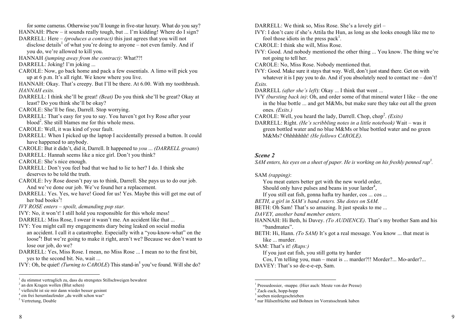for some cameras. Otherwise you'll lounge in five-star luxury. What do you say?

- HANNAH: Phew it sounds really tough, but ... I'm kidding! Where do I sign? DARRELL: Here – *(produces a contract)* this just agrees that you will not
- disclose details<sup>1</sup> of what you're doing to anyone not even family. And if you do, we're allowed to kill you.
- HANNAH *(jumping away from the contract)*: What??!
- DARRELL: Joking! I'm joking ...
- CAROLE: Now, go back home and pack a few essentials. A limo will pick you up at 6 p.m. It's all right. We know where you live.
- HANNAH: Okay. That's creepy. But I'll be there. At 6.00. With my toothbrush. *HANNAH exits.*
- DARRELL: I think she'll be great! *(Beat)* Do you think she'll be great? Okay at least? Do you think she'll be okay?
- CAROLE: She'll be fine, Darrell. Stop worrying.
- DARRELL: That's easy for you to say. You haven't got Ivy Rose after your  $\boldsymbol{\beta}$  blood<sup>2</sup>. She still blames me for this whole mess.
- CAROLE: Well, it was kind of your fault.
- DARRELL: When I picked up the laptop I accidentally pressed a button. It could have happened to anybody.
- CAROLE: But it didn't, did it, Darrell. It happened to *you* ... *(DARRELL groans*)
- DARRELL: Hannah seems like a nice girl. Don't you think?
- CAROLE: She's nice enough.
- DARRELL: Don't you feel bad that we had to lie to her? I do. I think she deserves to be told the truth.
- CAROLE: Ivy Rose doesn't pay us to think, Darrell. She pays us to do our job. And we've done our job. We've found her a replacement.
- DARRELL: Yes. Yes, we have! Good for us! Yes. Maybe this will get me out of her bad books<sup>3</sup>!
- *IVY ROSE enters – spoilt, demanding pop star.*
- IVY: No, it won't! I still hold you responsible for this whole mess!
- DARRELL: Miss Rose, I swear it wasn't me. An accident like that ...
- IVY: You might call my engagements diary being leaked on social media an accident. I call it a catastrophe. Especially with a "you-know-what" on the loose<sup>4</sup>! But we're going to make it right, aren't we? Because we don't want to lose our job, do we?
- DARRELL: Yes, Miss Rose. I mean, no Miss Rose ... I mean no to the first bit, yes to the second bit. No, wait ...
- IVY: Oh, be quiet! *(Turning to CAROLE*) This stand-in<sup>5</sup> you've found. Will she do?

DARRELL: We think so, Miss Rose. She's a lovely girl –

- IVY: I don't care if she's Attila the Hun, as long as she looks enough like me to fool those idiots in the press pack<sup>1</sup>.
- CAROLE: I think she will, Miss Rose.
- IVY: Good. And nobody mentioned the other thing ... You know. The thing we're not going to tell her.
- CAROLE: No, Miss Rose. Nobody mentioned that.
- IVY: Good. Make sure it stays that way. Well, don't just stand there. Get on with whatever it is I pay you to do. And if you absolutely need to contact me – don't! *Exits.*
- DARRELL *(after she's left*): Okay ... I think that went ...
- IVY *(bursting back in)*: Oh, and order some of that mineral water I like the one in the blue bottle ... and get M&Ms, but make sure they take out all the green ones. *(Exits.)*
- CAROLE: Well, you heard the lady, Darrell. Chop, chop<sup>2</sup>. (Exits)
- DARRELL: Right. *(He's scribbling notes in a little notebook)* Wait was it green bottled water and no blue M&Ms or blue bottled water and no green M&Ms? Ohhhhhhh! *(He follows CAROLE).*

### *Scene 2*

*SAM enters, his eyes on a sheet of paper. He is working on his freshly penned rap3 .* 

SAM *(rapping)*:

You meat eaters better get with the new world order, Should only have pulses and beans in your larder<sup>4</sup>,

- If you still eat fish, gonna hafta try harder, cos ... cos ...
- *BETH, a girl in SAM's band enters. She dotes on SAM.*
- BETH: Oh Sam! That's so amazing. It just speaks to me ...
- *DAVEY, another band member enters.*
- HANNAH: Hi Beth, hi Davey. *(To AUDIENCE)*. That's my brother Sam and his

"bandmates".

BETH: Hi, Hann. *(To SAM)* It's got a real message. You know ... that meat is like ... murder.

SAM: That's it! *(Raps:)*

If you just eat fish, you still gotta try harder

Cos, I'm telling you, man – meat is ... marder?!! Morder?... Mo-arder?... DAVEY: That's so de-e-e-ep, Sam.

<sup>&</sup>lt;sup>1</sup> du stimmst vertraglich zu, dass du strengstes Stillschweigen bewahrst

<sup>2</sup> an den Kragen wollen (Blut sehen)

<sup>3</sup> vielleicht ist sie mir dann wieder besser gesinnt

 $4$  ein frei herumlaufender "du weißt schon was"

<sup>5</sup> Vertretung, Double

<sup>&</sup>lt;sup>1</sup> Pressedossier, -mappe. (Hier auch: Meute von der Presse)  $2$  Zack-zack. hopp-hopp

 $3$  soeben niedergeschrieben

<sup>&</sup>lt;sup>4</sup> nur Hülsenfrüchte und Bohnen im Vorratsschrank haben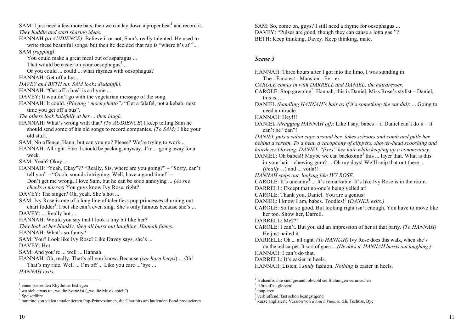SAM: I just need a few more bars, then we can lay down a proper beat<sup>1</sup> and record it. *They huddle and start sharing ideas.*

- HANNAH *(to AUDIENCE)*: Believe it or not, Sam's really talented. He used to write these beautiful songs, but then he decided that rap is "where it's  $at$ "<sup>2</sup>... SAM *(rapping)*:
	- You could make a great meal out of asparagus ...
	- That would be easier on your oesophagus $3 \dots$
- Or you could ... could ... what rhymes with oesophagus? HANNAH: Get off a bus ...
- *DAVEY and BETH tut. SAM looks disdainful.*
- HANNAH: "Get off a bus" is a rhyme ...
- DAVEY: It wouldn't go with the vegetarian message of the song.
- HANNAH: It could. *(Playing "mock ghetto")* "Get a falafel, not a kebab, next time you get off a bus".
- *The others look balefully at her ... then laugh.*
- HANNAH: What's wrong with that? *(To AUDIENCE*) I keep telling Sam he should send some of his old songs to record companies. *(To SAM)* I like your old stuff.
- SAM: No offence, Hann, but can you go? Please? We're trying to work ...
- HANNAH: All right. Fine. I should be packing, anyway. I'm ... going away for a week.
- SAM: Yeah? Okay ...
- HANNAH: "Yeah, Okay"?? "Really, Sis, where are you going?" "Sorry, can't tell you" – "Oooh, sounds intriguing. Well, have a good time!" –
	- Don't get me wrong, I love Sam, but he can be sooo annoying ... *(As she checks a mirror)* You guys know Ivy Rose, right?
- DAVEY: The singer? Oh, yeah. She's hot ...
- SAM: Ivy Rose is one of a long line of talentless pop princesses churning out chart fodder<sup>4</sup>. I bet she can't even sing. She's only famous because she's ... DAVEY: ... Really hot ...
- HANNAH: Would you say that I look a tiny bit like her?
- *They look at her blankly, then all burst out laughing. Hannah fumes.*
- HANNAH: What's so funny?
- SAM: You? Look like Ivy Rose? Like Davey says, she's ...
- DAVEY: Hot.
- SAM: And you're ... well ... Hannah.
- HANNAH: Oh, really. That's all you know. Because *(car horn beeps*) ... Oh! That's my ride. Well ... I'm off ... Like you care ...'bye ...
- *HANNAH exits.*

SAM: So, come on, guys? I still need a rhyme for oesophagus ... DAVEY: "Pulses are good, though they can cause a lotta gas<sup>1</sup>"? BETH: Keep thinking, Davey. Keep thinking, mate.

### *Scene 3*

HANNAH: Three hours after I got into the limo, I was standing in The - Fanciest - Mansion - Ev - er. *CAROLE comes in with DARRELL and DANIEL, the hairdresser.*  CAROLE: Stop gawping<sup>2</sup>. Hannah, this is Daniel, Miss Rose's stylist - Daniel, this is … DANIEL *(handling HANNAH's hair as if it's something the cat did)*: ... Going to need a miracle. HANNAH: Hey!!! DANIEL *(dragging HANNAH off)*: Like I say, babes – if Daniel can't do it – it can't be "dan"! *DANIEL puts a salon cape around her, takes scissors and comb and pulls her behind a screen. To a beat, a cacophony of clippers, shower-head scooshing and hairdryer blowing. DANIEL "fixes" her hair while keeping up a commentary:*  DANIEL: Oh babes!! Maybe we can backcomb<sup>3</sup> this ... layer that. What is this in your hair - chewing gum? ... Oh my days! We'll snip that out there ... *(finally*…) and ... voilà!! *HANNAH steps out, looking like IVY ROSE.* CAROLE: It's uncanny<sup>4</sup> ... It's remarkable. It's like Ivy Rose is in the room. DARRELL: Except that no-one's being yelled at! CAROLE: Thank you, Daniel. You are a genius! DANIEL: I know I am, babes. Toodles! <sup>5</sup> (*DANIEL exits.)*  CAROLE: So far so good. But looking right isn't enough. You have to move like her too. Show her, Darrell. DARRELL: Me??! CAROLE: I can't. But you did an impression of her at that party. *(To HANNAH)*  He just nailed it. DARRELL: Oh ... all right. *(To HANNAH)* Ivy Rose does this walk, when she's on the red carpet. It sort of goes ... *(He does it*. *HANNAH bursts out laughing.)* HANNAH: I can't do that. DARRELL: It's easier in heels. HANNAH: Listen, I *study* fashion. *Nothing* is easier in heels.

<sup>&</sup>lt;sup>1</sup> einen passenden Rhythmus festlegen<br><sup>2</sup> wo sich etwas tut, wo die Szene ist ("wo die Musik spielt")

<sup>&</sup>lt;sup>3</sup> Speiseröhre<br><sup>4</sup> nur eine von vielen untalentierten Pop-Prinzessinnen, die Charthits am laufenden Band produzieren

 <sup>1</sup> Hülsenfrüchte sind gesund, obwohl sie Blähungen verursachen

<sup>2</sup> Hör auf zu glotzen!

 $3$  toupieren

<sup>4</sup> verblüffend, fast schon beängstigend

<sup>5</sup> kurze anglizierte Version von *à tout à l'heure*, d.h. Tschüss, Bye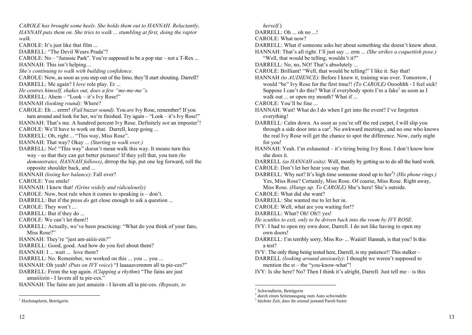*CAROLE has brought some heels. She holds them out to HANNAH. Reluctantly, HANNAH puts them on. She tries to walk ... stumbling at first, doing the raptor walk.* CAROLE: It's just like that film ... DARRELL: "The Devil Wears Prada"? CAROLE: No – "Jurassic Park". You're supposed to be a pop star – not a  $T$ -Rex ... HANNAH: This isn't helping… *She's continuing to walk with building confidence.* CAROLE: Now, as soon as you step out of the limo, they'll start shouting. Darrell? DARRELL: Me again? I *love* role play. Er ... *He centres himself, shakes out, does a few "me-me-me"s.* DARRELL: Ahem – "Look – it's Ivy Rose!" HANNAH *(looking round):* Where? CAROLE: Eh ... errrrr! *(Fail buzzer sound)*. You *are* Ivy Rose, remember? If you turn around and look for her, we're finished. Try again – "Look – it's Ivy Rose!" HANNAH: That's me. A hundred percent Ivy Rose. Definitely *not* an imposter<sup>1</sup>! CAROLE: We'll have to work on that. Darrell, keep going ... DARRELL: Oh, right ... "This way, Miss Rose". HANNAH: That way? Okay ... *(Starting to walk over.)* DARRELL: No! "This way" doesn't mean walk this way. It means turn this way - so that they can get better pictures! If they yell that, you turn *(he demonstrates, HANNAH follows)*, drrrop the hip, put one leg forward, roll the opposite shoulder back, and ... HANNAH *(losing her balance)*: Fall over? CAROLE: You smile! HANNAH: I knew that! *(Grins widely and ridiculously)* CAROLE: Now, best rule when it comes to speaking is – don't. DARRELL: But if the press *do* get close enough to ask a question ... CAROLE: They won't ... DARRELL: But if they do ... CAROLE: We can't let them!! DARRELL: Actually, we've been practicing: "What do you think of your fans, Miss Rose?" HANNAH: They're "just am-aiiiii-zin*?*" DARRELL: Good, good. And how do you feel about them? HANNAH: I ... wait ... love them? DARRELL: No. Remember, we worked on this ... you ... you ... HANNAH: Oh yeah! *(Puts on IVY voice*) "I laaaaavemmm all ta pie-ces?" DARRELL: From the top again. *(Clapping a rhythm*) "The fains are just amaiiiizin - I lavem all ta pie-ces." HANNAH: The fains are just amaizin - I lavem all ta pie-ces. *(Repeats, to* 

 $12$  13

*herself.*) DARRELL: Oh ... oh no ...! CAROLE: What now? DARRELL: What if someone asks her about something she doesn't know about. HANNAH: That's all right. I'll just say ... erm ... *(She strikes a coquettish pose.)* "Well, that would be telling, wouldn't it?" DARRELL: No. no, NO! That's absolutely ... CAROLE: Brilliant! "Well, that would be telling!" I like it. Say that! HANNAH *(to AUDIENCE)*: Before I knew it, training was over. Tomorrow, I would "be" Ivy Rose for the first time!! *(To CAROLE)* Oooohhh - I feel sick! Suppose I can't do this? What if everybody spots I'm a fake<sup>1</sup> as soon as I walk out ... or open my mouth? What if ... CAROLE: You'll be fine ... HANNAH: Wait! What do I do when I get into the event? I've forgotten everything! DARRELL: Calm down. As soon as you're off the red carpet, I will slip you through a side door into a car<sup>2</sup>. No awkward meetings, and no one who knows the real Ivy Rose will get the chance to spot the difference. Now, early night for you! HANNAH: Yeah. I'm exhausted – it's tiring being Ivy Rose. I don't know how she does it. DARRELL *(as HANNAH exits)*: Well, mostly by getting us to do all the hard work. CAROLE: Don't let her hear you say that. DARRELL: Why not? It's high time someone stood up to her<sup>3</sup>! (His phone rings.) Yes, Miss Rose? Certainly, Miss Rose. Of course, Miss Rose. Right away, Miss Rose. *(Hangs up. To CAROLE)* She's here! She's outside. CAROLE: What did she want? DARRELL: She wanted me to let her in. CAROLE: Well, what are you waiting for!? DARRELL: What? Oh! Oh!! yes! *He scuttles to exit, only to be driven back into the room by IVY ROSE.* IVY: I had to open my own door, Darrell. I do not like having to open my own doors! DARRELL: I'm terribly sorry, Miss Ro- ... Waiiiit! Hannah, is that you? Is this a test? IVY: The only thing being tested here, Darrell, is my patience!! This stalker – DARRELL *(looking around anxiously)*: I thought we weren't supposed to mention the st – the "you-know-what"! IVY: Is she here? No? Then I think it's alright, Darrell. Just tell me – is this

<sup>&</sup>lt;sup>1</sup> Hochstaplerin, Betrügerin

<sup>&</sup>lt;sup>1</sup> Schwindlerin, Betrügerin

<sup>2</sup> durch einen Seitenausgang zum Auto schwindeln

<sup>3</sup> höchste Zeit, dass ihr einmal jemand Paroli bietet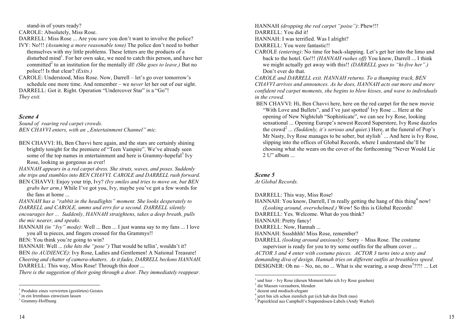stand-in of yours ready?

CAROLE: Absolutely, Miss Rose.

DARRELL: Miss Rose ... Are you *sure* you don't want to involve the police?

- IVY: No!!! *(Assuming a more reasonable tone)* The police don't need to bother themselves with my little problems. These letters are the products of a disturbed mind<sup>1</sup>. For her own sake, we need to catch this person, and have her committed<sup>2</sup> to an institution for the mentally ill! *(She goes to leave.)* But no police!! Is that clear? *(Exits.)*
- CAROLE: Understood, Miss Rose. Now, Darrell let's go over tomorrow's schedule one more time. And remember – we *never* let her out of our sight. DARRELL: Got it. Right. Operation "Undercover Star" is a "Go"!

*They exit.*

### *Scene 4*

*Sound of roaring red carpet crowds. BEN CHAVVI* enters, with an "*Entertainment Channel*" mic.

BEN CHAVVI: Hi, Ben Chavvi here again, and the stars are certainly shining brightly tonight for the premiere of "Teen Vampire". We've already seen some of the top names in entertainment and here is Grammy-hopeful<sup>3</sup> Ivy Rose, looking as gorgeous as ever!

*HANNAH appears in a red carpet dress. She struts, waves, and poses. Suddenly she trips and stumbles into BEN CHAVVI. CAROLE and DARRELL rush forward.* BEN CHAVVI: Enjoy your trip, Ivy? *(Ivy smiles and tries to move on, but BEN* 

*grabs her arm.)* While I've got you, Ivy, maybe you've got a few words for the fans at home ...

*HANNAH has a "rabbit in the headlights" moment. She looks desperately to DARRELL and CAROLE, umms and errs for a second. DARRELL silently encourages her ... Suddenly, HANNAH straightens, takes a deep breath, pulls the mic nearer, and speaks.*

HANNAH *(in "Ivy" mode)*: Well ... Ben ... I just wanna say to my fans ... I love you all ta pieces, and fingers crossed for tha Grammys!!

BEN: You think you're going to win?

HANNAH: Well ... *(she hits the "pose")* That would be tellin', wouldn't it? BEN *(to AUDIENCE)*: Ivy Rose, Ladies and Gentlemen! A National Treasure! *Cheering and chatter of camera-shutters*. *As it fades, DARRELL beckons HANNAH.* DARRELL: This way, Miss Rose! Through this door ...

*There is the suggestion of their going through a door. They immediately reappear.* 

HANNAH *(dropping the red carpet "poise")*: Phew!!! DARRELL: You did it!

HANNAH: I was terrified. Was I alright?

DARRELL: You were fantastic!!

CAROLE *(entering)*: No time for back-slapping. Let's get her into the limo and back to the hotel. Go!!! *(HANNAH rushes off)* You know, Darrell ... I think we might actually get away with this!! *(DARRELL goes to "hi-five her".)* Don't ever do that.

*CAROLE and DARRELL exit. HANNAH returns. To a thumping track, BEN CHAVVI arrives and announces. As he does, HANNAH acts out more and more confident red carpet moments, she begins to blow kisses, and wave to individuals in the crowd.* 

BEN CHAVVI: Hi, Ben Chavvi here, here on the red carpet for the new movie "With Love and Bullets", and I've just spotted<sup>1</sup> Ivy Rose ... Here at the opening of New Nightclub "Sophisticate", we can see Ivy Rose, looking sensational ... Opening Europe's newest Record Superstore, Ivy Rose dazzles the crowd<sup>2</sup> ... *(Suddenly, it's serious and quiet.*) Here, at the funeral of Pop's Mr Nasty, Ivy Rose manages to be sober, but stylish $3 \dots$  And here is Ivy Rose, slipping into the offices of Global Records, where I understand she'll be choosing what she wears on the cover of the forthcoming "Never Would Lie 2 U" album ...

### *Scene 5*

*At Global Records.*

DARRELL: This way, Miss Rose!

- HANNAH: You know, Darrell, I'm really getting the hang of this thing  $4$  now! *(Looking around, overwhelmed.)* Wow! So this is Global Records!
- DARRELL: Yes. Welcome. What do you think?

HANNAH: Pretty fancy!

DARRELL: Now, Hannah ...

HANNAH: Sssshhhh! Miss Rose, remember?

DARRELL *(looking around anxiously):* Sorry – Miss Rose. The costume supervisor is ready for you to try some outfits for the album cover ...

*ACTOR 3 and 4 enter with costume pieces. ACTOR 3 turns into a testy and demanding diva of design. Hannah tries on different outfits at breathless speed.* DESIGNER: Oh no – No, no, no ... What is she wearing, a soup dress<sup>5</sup>??!! ... Let

<sup>&</sup>lt;sup>1</sup> Produkte eines verwirrten (gestörten) Geistes  $2 \text{ in ein Irrenhaus einweisen lassen}$ 

<sup>&</sup>lt;sup>3</sup> Grammy-Hoffnung

<sup>&</sup>lt;sup>1</sup> und hier – Ivy Rose (diesen Moment habe ich Ivy Rose gesehen)<br><sup>2</sup> die Massen verzaubern, blenden<br><sup>3</sup> dezent und modisch-elegant

<sup>&</sup>lt;sup>4</sup> jetzt bin ich schon ziemlich gut (ich hab den Dreh raus)<br><sup>5</sup> Papierkleid aus Campbell's Suppendosen-Labels (Andy Warhol)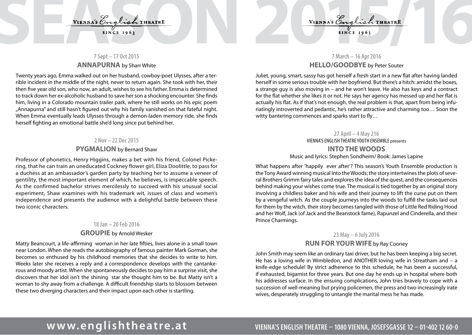# VIENNA'S English THEATRE<br>SINCE 1963<br>7 Sept-17007015

## **7 Sept – 17 Oct 2015 ANNAPURNA** by Sharr White

Twenty years ago, Emma walked out on her husband, cowboy-poet Ulysses, after a terrible incident in the middle of the night, never to return again. She took with her, their then five year old son, who now, an adult, wishes to see his father. Emma is determined to track down her ex-alcoholic husband to save her son a shocking encounter. She finds him, living in a Colorado mountain trailer park, where he still works on his epic poem "Annapurna" and still hasn't figured out why his family vanished on that fateful night. When Emma eventually leads Ulysses through a demon-laden memory ride, she finds herself fighting an emotional battle she'd long since put behind her.

### **2 Nov – 22 Dec 2015**

### **PYGMALION** by Bernard Shaw

Professor of phonetics, Henry Higgins, makes a bet with his friend, Colonel Pickering, that he can train an uneducated Cockney flower girl, Eliza Doolittle, to pass for a duchess at an ambassador's garden party by teaching her to assume a veneer of gentility, the most important element of which, he believes, is impeccable speech. As the confirmed bachelor strives mercilessly to succeed with his unusual social experiment, Shaw examines with his trademark wit, issues of class and women's independence and presents the audience with a delightful battle between these two iconic characters.

### **18 Jan – 20 Feb 2016**

### **GROUPIE** by Arnold Wesker

Matty Beancourt, a life-affirming woman in her late fifties, lives alone in a small town near London. When she reads the autobiography of famous painter Mark Gorman, she becomes so enthused by his childhood memories that she decides to write to him. Weeks later she receives a reply and a correspondence develops with the cantankerous and moody artist. When she spontaneously decides to pay him a surprise visit, she discovers that her idol isn't the shining star she thought him to be. But Matty isn't a woman to shy away from a challenge. A difficult friendship starts to blossom between these two diverging characters and their impact upon each other is startling.

# **7 March – 16 Apr 2016 HELLO/GOODBYE** by Peter Souter

Juliet, young, smart, sassy has got herself a fresh start in a new flat after having landed herself in some serious trouble with her boyfriend. But there's a hitch: amidst the boxes, a strange guy is also moving in – and he won't leave. He also has keys and a contract for the flat whether she likes it or not. He says her agency has messed up and her flat is actually his flat. As if that's not enough, the real problem is that, apart from being infuriatingly introverted and pedantic, he's rather attractive and charming too… Soon the witty bantering commences and sparks start to  $fly...$ 

> **27 April – 4 May 216** VIENNA'S ENGLISH THEATRE YOUTH ENSEMBLE presents **INTO THE WOODS**  Music and lyrics: Stephen Sondheim/ Book: James Lapine

What happens after 'happily ever after'? This season's Youth Ensemble production is the Tony Award winning musical Into the Woods; the story intertwines the plots of several Brothers Grimm fairy tales and explores the idea of the quest, and the consequences behind making your wishes come true. The musical is tied together by an original story involving a childless baker and his wife and their journey to lift the curse put on them by a vengeful witch. As the couple journeys into the woods to fulfill the tasks laid out for them by the witch, their story becomes tangled with those of Little Red Riding Hood and her Wolf, Jack (of Jack and the Beanstock fame), Rapunzel and Cinderella, and their Prince Charmings.

### **23 May – 6 July 2016**

### **RUN FOR YOUR WIFE** by Ray Cooney

John Smith may seem like an ordinary taxi driver, but he has been keeping a big secret. He has a loving wife in Wimbledon, and ANOTHER loving wife in Streatham and – a knife-edge schedule! By strict adherence to this schedule, he has been a successful, if exhausted, bigamist for three years. But one day he ends up in hospital where both his addresses surface. In the ensuing complications, John tries bravely to cope with a succession of well-meaning but prying policemen, the press and two increasingly irate wives, desperately struggling to untangle the marital mess he has made.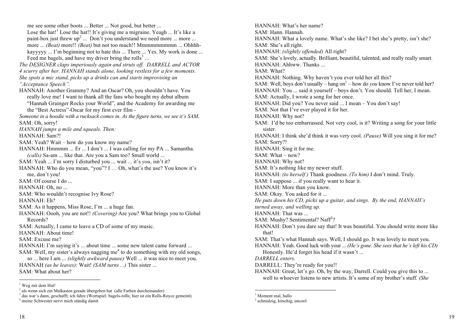me see some other boots ... Better ... Not good, but better ... Lose the hat!<sup>1</sup> Lose the hat!! It's giving me a migraine. Yeagh ... It's like a paint-box just threw  $up<sup>2</sup>$  ... Don't you understand we need more ... more ... more ... *(Beat)* more!! *(Beat)* but not too much!! Mmmmmmmmm ... Ohhhhkayyyyy ... I'm beginning not to hate this ... There ... Yes. My work is done ... Feed me bagels, and have my driver bring the rolls<sup>3</sup> ... *The DESIGNER claps imperiously again and struts off. DARRELL and ACTOR 4 scurry after her. HANNAH stands alone, looking restless for a few moments. She spots a mic stand, picks up a drinks can and starts improvising an "Acceptance Speech".* HANNAH: Another Grammy? And an Oscar? Oh, you shouldn't have. You really love me! I want to thank all the fans who bought my debut album "Hannah Grainger Rocks your World", and the Academy for awarding me the "Best Actress"-Oscar for my first ever film - *Someone in a hoodie with a rucksack comes in. As the figure turns, we see it's SAM.* SAM: Oh, sorry! *HANNAH jumps a mile and squeals. Then:* HANNAH: Sam?! SAM: Yeah? Wait – how do you know my name? HANNAH: Hmmmm ... Er ... I don't ... I was calling for my PA ... Samantha. *(calls)* Sa-am ... like that. Are you a Sam too? Small world ... SAM: Yeah ... I'm sorry I disturbed you ... wait ... it's *you*, isn't it? HANNAH: Who do you mean, "you"? I … Oh, what's the use? You know it's me, don't you! SAM: Of course I do ... HANNAH: Oh, no ... SAM: Who wouldn't recognise Ivy Rose? HANNAH: Eh? SAM: As it happens, Miss Rose, I'm ... a huge fan. HANNAH: Oooh, you are not!! *(Covering)* Are you? What brings you to Global Records? SAM: Actually, I came to leave a CD of some of my music. HANNAH: About time! SAM: Excuse me? HANNAH: I'm saying it's ... about time ... some new talent came forward ... SAM: Well, my sister's always nagging me<sup> $4$ </sup> to do something with my old songs, so ... here I am ... *(slightly awkward pause)* Well ... it was nice to meet you. HANNAH *(as he leaves)*: Wait! *(SAM turns ...)* This sister ... SAM: What about her?

<sup>1</sup> Weg mit dem Hut!

HANNAH: What's her name? SAM: Hann. Hannah. HANNAH: What a lovely name. What's she like? I bet she's pretty, isn't she? SAM: She's all right. HANNAH: *(slightly offended)* All right? SAM: She's lovely, actually. Brilliant, beautiful, talented, and really really smart. HANNAH: Ahhww. Thanks ... SAM: What? HANNAH: Nothing. Why haven't you ever told her all this? SAM: Well, boys don't usually – hang on<sup>1</sup> – how do *you* know I've never told her? HANNAH: You ... said it yourself – boys don't. You should. Tell her, I mean. SAM: Actually, I wrote a song for her once. HANNAH: Did you? You never said ... I mean – You don't say! SAM: Not that I've ever played it for her. HANNAH: Why not? SAM: I'd be too embarrassed. Not very cool, is it? Writing a song for your little sister. HANNAH: I think she'd think it was very cool. *(Pause)* Will you sing it for me? SAM: Sorry?! HANNAH: Sing it for me.  $SAM: What = now?$ HANNAH: Why not? SAM: It's nothing like my newer stuff. HANNAH: *(to herself )* Thank goodness. *(To him)* I don't mind. Truly. SAM: I suppose ... if you really want to hear it. HANNAH: More than you know. SAM: Okay. You asked for it ... *He puts down his CD, picks up a guitar, and sings. By the end, HANNAH's turned away, and welling up.*  HANNAH: That was ... SAM: Mushy? Sentimental? Naff<sup>2</sup>? HANNAH: Don't you dare say that! It was beautiful. You should write more like that! SAM: That's what Hannah says. Well, I should go. It was lovely to meet you. HANNAH: Yeah. Good luck with your ... *(He's gone. She sees that he's left his CD)* Honestly. He'd forget his head if it wasn't ... *DARRELL enters.* DARRELL: They're ready for you!! HANNAH: Great, let's go. Oh, by the way, Darrell. Could you give this to ... well to whoever listens to new artists. It's some of my brother's stuff. *(She*

<sup>&</sup>lt;sup>2</sup> als wenn sich ein Malkasten gerade übergeben hat (alle Farben durcheinander)

<sup>&</sup>lt;sup>3</sup> das war's dann, geschafft; ich fahre (Wortspiel: bagels-rolls; hier ist ein Rolls-Royce gemeint) <sup>4</sup> meine Schwester nervt mich ständig damit

<sup>&</sup>lt;sup>1</sup> Moment mal, hallo

<sup>2</sup> schmalzig, kitschig, uncool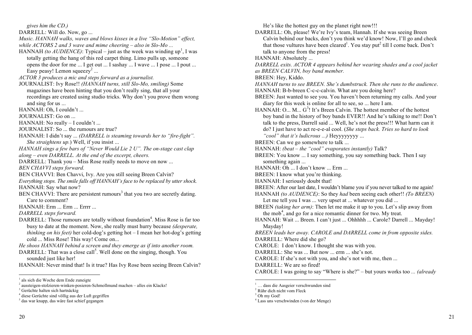*gives him the CD.)*

DARRELL: Will do. Now, go ...

*Music. HANNAH walks, waves and blows kisses in a live "Slo-Motion" effect, while ACTORS 2 and 3 wave and mime cheering – also in Slo-Mo ...*

HANNAH *(to AUDIENCE)*: Typical – just as the week was winding up<sup>1</sup>, I was totally getting the hang of this red carpet thing. Limo pulls up, someone opens the door for me ... I get out ... I sashay ... I wave ... I pose ... I pout ... Easy peasy! Lemon squeezy<sup>2</sup> ...

*ACTOR 3 produces a mic and steps forward as a journalist.*

JOURNALIST: Ivy Rose!! *(HANNAH turns, still Slo-Mo, smiling)* Some magazines have been hinting that you don't really sing, that all your recordings are created using studio tricks. Why don't you prove them wrong and sing for us ...

HANNAH: Oh, I couldn't ...

JOURNALIST: Go on ...

HANNAH: No really – I couldn't ...

JOURNALIST: So ... the rumours are true?

HANNAH: I didn't say ... *(DARRELL is steaming towards her to "fire-fight". She straightens up.*) Well, if you insist ...

*HANNAH sings a few bars of "Never Would Lie 2 U". The on-stage cast clap along – even DARRELL. At the end of the excerpt, cheers.* 

DARRELL: Thank you – Miss Rose really needs to move on now ...

*BEN CHAVVI steps forward.*

BEN CHAVVI: Ben Chavvi, Ivy. Are you still seeing Breen Calvin?

*Everything stops. The smile falls off HANNAH's face to be replaced by utter shock.* HANNAH: Say what now?

BEN CHAVVI: There are persistent rumours<sup>3</sup> that you two are secretly dating. Care to comment?

HANNAH: Erm ... Erm ... Errrr ...

*DARRELL steps forward.*

DARRELL: Those rumours are totally without foundation<sup>4</sup>. Miss Rose is far too busy to date at the moment. Now, she really must hurry because *(desperate, thinking on his feet)* her cold-dog's getting hot – I mean her hot-dog's getting cold ... Miss Rose! This way! Come on...

*He shoos HANNAH behind a screen and they emerge as if into another room.* DARRELL: That was a close call<sup>5</sup>. Well done on the singing, though. You

sounded just like her!

HANNAH: Never mind that! Is it true? Has Ivy Rose been seeing Breen Calvin?

He's like the hottest guy on the planet right now!!!

DARRELL: Oh, please! We're Ivy's team, Hannah. If she was seeing Breen Calvin behind our backs, don't you think we'd know! Now, I'll go and check that those vultures have been cleared<sup>1</sup>. You stay put<sup>2</sup> till I come back. Don't talk to anyone from the press!

HANNAH: Absolutely ...

*DARRELL exits. ACTOR 4 appears behind her wearing shades and a cool jacket as BREEN CALVIN, boy band member.*

BREEN: Hey, Kiddo.

*HANNAH turns to see BREEN. She's dumbstruck. Then she runs to the audience*. HANNAH: B-b-breen C-c-c-calvin. What are you doing here?

BREEN: Just wanted to see you. You haven't been returning my calls. And your diary for this week is online for all to see, so ... here I am.

HANNAH: O... M...  $G^3$ ! It's Breen Calvin. The hottest member of the hottest boy band in the history of boy bands EVER!! And he's talking to me!! Don't talk to the press, Darrell said ... Well, he's not the press!!! What harm can it do? I just have to act re-e-e-al cool. (*She steps back. Tries so hard to look "cool" that it's ludicrous ...)* Heyyyyyyyy ...

BREEN: Can we go somewhere to talk ...

- HANNAH: *(beat – the "cool" evaporates instantly)* Talk?
- BREEN: You know ... I say something, you say something back. Then I say something again ...
- HANNAH: Oh ... I don't know ... Erm ...
- BREEN: I know what you're thinking.

HANNAH: I seriously doubt that!

BREEN: After our last date, I wouldn't blame you if you never talked to me again! HANNAH *(to AUDIENCE)*: So they *had* been seeing each other!! *(To BREEN)*

Let me tell you I was ... very upset at ... whatever you did ...

BREEN *(taking her arm)*: Then let me make it up to you. Let's slip away from the mob<sup>4</sup>, and go for a nice romantic dinner for two. My treat.

HANNAH: Wait ... Breen. I can't just ... Ohhhhh ... Carole? Darrell ... Mayday! Mayday!

*BREEN leads her away. CAROLE and DARRELL come in from opposite sides.* DARRELL: Where did she go?

CAROLE: I don't know. I thought she was with you.

DARRELL: She was ... But now ... erm ... she's not.

CAROLE: If she's not with you, and she's not with me, then ...

DARRELL: We are so fired!

CAROLE: I was going to say "Where is she?" – but yours works too *... (already*

<sup>&</sup>lt;sup>1</sup> als sich die Woche dem Ende zuneigte

<sup>&</sup>lt;sup>2</sup> aussteigen-stolzieren-winken-posieren-Schmollmund machen – alles ein Klacks!

<sup>&</sup>lt;sup>3</sup> Gerüchte halten sich hartnäckig<br><sup>4</sup> diese Gerüchte sind völlig aus der Luft gegriffen

 $<sup>5</sup>$  das war knapp, das wäre fast schief gegangen</sup>

<sup>1.</sup> dass die Aasgeier verschwunden sind

<sup>2</sup> Rühr dich nicht vom Fleck

<sup>&</sup>lt;sup>3</sup> Oh my God!

<sup>4</sup> Lass uns verschwinden (von der Menge)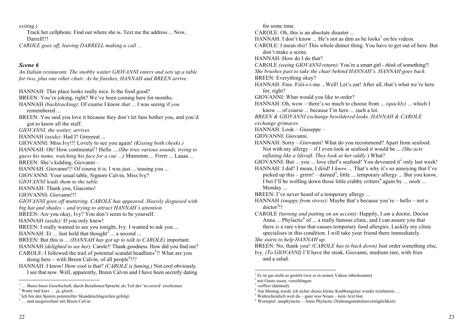*exiting.)*

Track her cellphone. Find out where she is. Text me the address ... Now, Darrell!!!

*CAROLE goes off, leaving DARRELL making a call ...*

### *Scene 6*

*An Italian restaurant. The snobby waiter GIOVANNI enters and sets up a table for two, plus one other chair. As he finishes, HANNAH and BREEN arrive.*

HANNAH: This place looks really nice. Is the food good? BREEN: You're joking, right? We've been coming here for months. HANNAH *(backtracking)*: Of course I know *that* ... I was seeing if *you* remembered ... BREEN: You said you love it because they don't let fans bother you, and you'd got to know all the staff. *GIOVANNI, the waiter, arrives.* HANNAH *(aside)*: Had I? Greeeeat ... GIOVANNI: Miss Ivy!!! Lovely to see you again! *(Kissing both cheeks.)*  HANNAH: Oh! How continental<sup>1</sup>! Hello ... *(She tries various sounds, trying to guess his name, watching his face for a cue ...)* Mmmmm ... Frrrrr ... Laaaa ... BREEN: She's kidding, Giovanni – HANNAH: Giovanni!!! Of course it is. I was just ... teasing you ... GIOVANNI: Your usual table, Signore Calvin, Miss Ivy? *GIOVANNI leads them to the table.* HANNAH: Thank you, Giacomo! GIOVANNI: Giovanni!!! *GIOVANNI goes off muttering. CAROLE has appeared. Heavily disguised with big hat and shades – and trying to attract HANNAH's attention.*  BREEN: Are you okay, Ivy? You don't seem to be yourself. HANNAH *(aside)*: If you only knew! BREEN: I really wanted to see you tonight, Ivy. I wanted to ask you ... HANNAH: Er  $\ldots$  Just hold that thought<sup>2</sup>  $\ldots$  a second  $\ldots$ BREEN: But this is ... *(HANNAH has got up to talk to CAROLE)* important. HANNAH *(delighted to see her)*: Carole!! Thank goodness. How did you find me? CAROLE: I followed the trail of potential scandal headlines<sup>3</sup>!! What are you doing here  $-$  with Breen Calvin, of all people<sup>4</sup>!!? HANNAH: I know! How cool is that? *(CAROLE is fuming.)* Not cool obviously. I see that now. Well, apparently, Breen Calvin and I have been secretly dating

for some time. CAROLE: Oh, this is an absolute disaster ... HANNAH: I don't know ... He's not as dim as he looks<sup>1</sup> on his videos. CAROLE: I mean *this*! This whole dinner thing. You have to get out of here. But don't make a scene. HANNAH: How do I do that? CAROLE *(seeing GIOVANNI return)*: You're a smart girl - *think* of something!! *She brushes past to take the chair behind HANNAH's. HANNAH goes back.* BREEN: Everything okay? HANNAH: Fine. Fiiii-i-i-ine ...Well! Let's eat! After all, that's what we're here for, right? GIOVANNI: What would you like to order? HANNAH: Oh, wow – there's so much to choose from ... *(quickly)* ... which I know ... of course ... because I'm here ... such a lot. *BREEN & GIOVANNI exchange bewildered looks. HANNAH & CAROLE exchange grimaces.* HANNAH: Look – Giuseppe – GIOVANNI: Giovanni. HANNAH: Sorry – Giovanni! What do you recommend? Apart from seafood. Not with my allergy – if I even look at seafood it would be ... *(She acts inflating like a liferaft. They look at her oddly.*) What? GIOVANNI: But ... you ... love chef's seafood! You devoured it<sup>2</sup> only last week! HANNAH: I did? I mean, I diiid! I *know* ... That's why it's so annoying that I've picked up this  $-$  grrrrr!  $-$  darned<sup>3</sup>, little ... temporary allergy ... But you know, I bet I'll be wolfing down those little crabby critters<sup>4</sup> again by ... oooh ... Monday ... BREEN: I've never heard of a temporary allergy ... HANNAH *(snappy from stress)*: Maybe that's because you're – hello – not a doctor<sup>5</sup>!! CAROLE *(turning and putting on an accent)*: Happily, I *am* a doctor, Doctor Anna ... Phylactic<sup>6</sup> of ... a really famous clinic, and I can assure you that there *is* a rare virus that causes temporary food allergies. Luckily my clinic specialises in this condition. I will take your friend there immediately. *She starts to help HANNAH up*. BREEN: No, thank you! *(CAROLE has to back down)* Just order something else, Ivy. *(To GIOVANNI)* I'll have the steak, Giovanni, medium rare, with fries and a salad.

<sup>&</sup>lt;sup>1</sup> ... Bussi-bussi Gesellschaft, durch Benehmen/Sprache als Teil der 'in-crowd' erscheinen <sup>2</sup> Warte mal kurz ... ia. gleich ...

<sup>&</sup>lt;sup>3</sup> Ich bin den Spuren potentieller Skandalschlagzeilen gefolgt.  $\frac{4}{1}$  … und ausgerechnet mit Breen Calvin

 <sup>1</sup> Er ist gar nicht so gestört (wie er in seinen Videos rüberkommt)

<sup>&</sup>lt;sup>2</sup> mit Gusto essen, verschlingen

 $3$  verflixt (damned)<br> $4$  Am Montag werde ich sicher dieses kleine Krabbengetier wieder reinfuttern ...

<sup>&</sup>lt;sup>5</sup> Wahrscheinlich weil du – ganz was Neues – kein Arzt bist.  $\frac{1}{n}$  Wortspiel: anaphylactic – Anna Phylactic (Nahrungsmittelunverträglichkeit)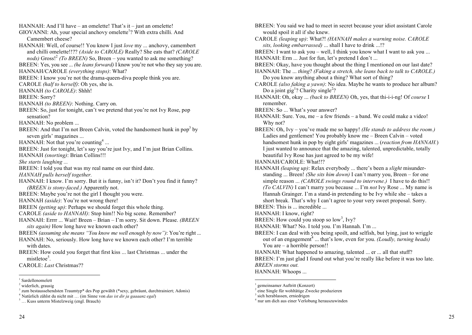HANNAH: And I'll have – an omelette! That's it – just an omelette! GIOVANNI: Ah, your special anchovy omelette<sup>1</sup>? With extra chilli. And Camembert cheese? HANNAH: Well, of course!! You know I just *love* my ... anchovy, camembert and chilli omelette!!?? *(Aside to CAROLE)* Really? She eats that? *(CAROLE nods)* Gross!<sup>2</sup> *(To BREEN)* So, Breen – you wanted to ask me something? BREEN: Yes, you see ... *(he leans forward)* I know you're not who they say you are. HANNAH/CAROLE *(everything stops)*: What? BREEN: I know you're not the drama-queen-diva people think you are. CAROLE *(half to herself)*: Oh yes, she is. HANNAH *(to CAROLE)*: Shhh! BREEN: Sorry? HANNAH *(to BREEN)*: Nothing. Carry on. BREEN: So, just for tonight, can't we pretend that you're not Ivy Rose, pop sensation? HANNAH: No problem ... BREEN: And that I'm not Breen Calvin, voted the handsomest hunk in pop<sup>3</sup> by seven girls' magazines ... HANNAH: Not that you're counting<sup>4</sup> ... BREEN: Just for tonight, let's say you're just Ivy, and I'm just Brian Collins. HANNAH *(snorting)*: Brian Collins!!! *She starts laughing ...*  BREEN: I told you that was my real name on our third date. *HANNAH pulls herself together.* HANNAH: I know. I'm sorry. But it is funny, isn't it? Don't you find it funny? *(BREEN is stony-faced.)* Apparently not. BREEN: Maybe you're not the girl I thought you were. HANNAH *(aside)*: You're not wrong there! BREEN *(getting up)*: Perhaps we should forget this whole thing. CAROLE *(aside to HANNAH)*: Stop him!! No big scene. Remember? HANNAH: Errrr ... Wait! Breen – Brian – I'm sorry. Sit down. Please. *(BREEN sits again)* How long have we known each other? BREEN *(assuming she means "You know me well enough by now")*: You're right ... HANNAH: No, seriously. How long have we known each other? I'm terrible with dates BREEN: How could you forget that first kiss ... last Christmas ... under the mistletoe<sup>5</sup>. CAROLE: *Last* Christmas??

BREEN: You said we had to meet in secret because your idiot assistant Carole would spoil it all if she knew. CAROLE *(leaping up)*: What?! *(HANNAH makes a warning noise. CAROLE sits, looking embarrassed)* ... shall I have to drink ...!? BREEN: I want to ask you – well, I think you know what I want to ask you ... HANNAH: Erm ... Just for fun, let's pretend I don't ... BREEN: Okay, have you thought about the thing I mentioned on our last date? HANNAH: The ... *thing*? *(Faking a stretch, she leans back to talk to CAROLE.)* Do you know anything about a thing? What sort of thing? CAROLE *(also faking a yawn)*: No idea. Maybe he wants to produce her album? Do a joint gig<sup>1</sup>? Charity single<sup>2</sup>? HANNAH: Oh, okay ... *(back to BREEN)* Oh, yes, that thi-i-i-ng! Of *course* I remember. BREEN: So ... What's your answer? HANNAH: Sure. You, me – a few friends – a band. We could make a video! Why not? BREEN: Oh, Ivy – you've made me so happy! *(He stands to address the room.)* Ladies and gentlemen! You probably know me – Breen Calvin – voted handsomest hunk in pop by eight girls' magazines ... (*reaction from HANNAH.*) I just wanted to announce that the amazing, talented, unpredictable, totally beautiful Ivy Rose has just agreed to be my wife! HANNAH/CAROLE: What!!? HANNAH *(leaping up)*: Relax everybody ... there's been a *slight* misunderstanding ... Breen! *(She sits him down)* I can't marry you, Breen – for one simple reason ... *(CAROLE swings round to intervene.)* I have to do this!! *(To CALVIN)* I can't marry you because ... I'm *not* Ivy Rose ... My name is Hannah Grainger. I'm a stand-in pretending to be Ivy while she – takes a short break. That's why I can't agree to your very sweet proposal. Sorry. BREEN: This is ... incredible ... HANNAH: I know, right? BREEN: How could you stoop so  $\text{low}^3$ , Ivy? HANNAH: What? No. I told you. I'm Hannah. I'm ... BREEN: I can deal with you being spoilt, and selfish, but lying, just to wriggle out of an engagement<sup>4</sup> ... that's low, even for you. *(Loudly, turning heads)* You are – a horrible person!! HANNAH: What happened to amazing, talented ... er ... all that stuff? BREEN: I'm just glad I found out what you're really like before it was too late. *BREEN storms out.* HANNAH: Whoops ...

<sup>&</sup>lt;sup>1</sup> Sardellenomelett<sup>2</sup> widerlich, grausig

<sup>&</sup>lt;sup>3</sup> zum bestaussehendsten Traumtyp\* des Pop gewählt (\*sexy, gebräunt, durchtrainiert; Adonis)

<sup>4</sup> Natürlich zählst du nicht mit … (im Sinne von *das ist dir ja gaaaanz egal*) <sup>5</sup> … Kuss unterm Mistelzweig (engl. Brauch)

 <sup>1</sup> gemeinsamer Auftritt (Konzert)

<sup>2</sup> eine Single für wohltätige Zwecke produzieren

<sup>&</sup>lt;sup>3</sup> sich herablassen, erniedrigen

<sup>4</sup> nur um dich aus einer Verlobung herauszuwinden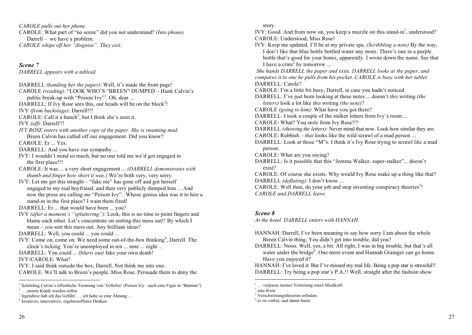*CAROLE pulls out her phone.* CAROLE: What part of "no scene" did you not understand? *(Into phone)* Darrell – we have a problem. *CAROLE whips off her "disguise". They exit.*

*Scene 7*

*DARRELL appears with a tabloid.*

DARRELL *(handing her the paper)*: Well, it's made the front page!

CAROLE *(reading)*: "LOOK WHO'S "BREEN" DUMPED – Hunk Calvin's public break-up with "Poison Ivy"<sup>1</sup>. Oh, dear ...

DARRELL: If Ivy Rose sees this, our heads will be on the block<sup>2</sup>!

IVY *(from backstage)*: Darrell!!!

CAROLE: Call it a hunch<sup>3</sup>, but I think she's seen it.

IVY *(off)*: Darrell!!!

*IVY ROSE enters with another copy of the paper. She is steaming mad.* Breen Calvin has called off our engagement. Did you know?

CAROLE: Er ... Yes.

- DARRELL: And you have our sympathy ...
- IVY: I wouldn't mind so much, but no one told me we'd got engaged in the first place!!!
- CAROLE: It was ... a very short engagement ... *(DARRELL demonstrates with thumb and finger how short it was.)* We're both very, very sorry.
- IVY: Let me get this straight "fake me" has gone off and got herself engaged to my real boyfriend, and then very publicly dumped him ... And now the press are calling *me* "Poison Ivy". Whose genius idea was it to hire a stand-in in the first place? I want them fired!

DARRELL: Er ... that would have been ... you?

IVY *(after a moment's "spluttering")*: Look, this is no time to point fingers and blame each other. Let's concentrate on sorting this mess out!! By which I mean – *you* sort this mess out. Any brilliant ideas?

DARRELL: Well, you could ... you could ...

IVY: Come on, come on. We need some out-of-the-box thinking<sup>4</sup>, Darrell. The clock's ticking. You're unemployed in ten ... nine ... eight ...

DARRELL: You could ... *(blurts out)* fake your own death!

IVY/CAROLE: What?

IVY: I said think outside the box, Darrell. Not think me into one.

CAROLE: We'll talk to Breen's people, Miss Rose. Persuade them to deny the

<sup>3</sup> Irgendwie hab ich das Gefühl ..., ich habe so eine Ahnung ...  $4$  kreatives, innovatives, ergebnisoffenes Denken

story.

IVY: Good. And from now on, you keep a muzzle on this stand-in<sup>1</sup>, understood? CAROLE: Understood, Miss Rose!

IVY: Keep me updated. I'll be at my private spa. *(Scribbling a note)* By the way, I don't like that blue bottle bottled water any more. There's one in a purple bottle that's good for your bones, apparently. I wrote down the name. See that I have a crate<sup>2</sup> by tomorrow ...

*She hands DARRELL the paper and exits. DARRELL looks at the paper, and compares it to one he pulls from his pocket. CAROLE is busy with her tablet.* DARRELL: Carole?

CAROLE: I'm a little bit busy, Darrell, in case you hadn't noticed.

DARRELL: I've just been looking at these notes ... doesn't *this* writing *(the letters)* look a lot like *this* writing *(the note)*?

CAROLE *(going to him)*: What have you got there?

DARRELL: I took a couple of the stalker letters from Ivy's room ...

CAROLE: What? You stole from Ivy Rose!!?

- DARRELL *(showing the letters)*: Never mind that now. Look how similar they are.
- CAROLE: Rubbish *that* looks like the wild scrawl of a mad person ...

DARRELL: Look at those "M"s. I think it's Ivy Rose trying to scrawl *like* a mad person.

- CAROLE: What are you saying?
- DARRELL: Is it possible that this "Jemma Walker, super-stalker"... doesn't exist?

CAROLE: Of course she exists. Why would Ivy Rose make up a thing like that? DARRELL *(deflating)*: I don't know ...

CAROLE: Well then, do your job and stop inventing conspiracy theories<sup>3</sup>! *CAROLE and DARRELL leave.* 

### *Scene 8*

*At the hotel. DARRELL enters with HANNAH.*

- HANNAH: Darrell, I've been meaning to say how sorry I am about the whole Breen Calvin thing. You didn't get into trouble, did you?
- DARRELL: Nooo. Well, yes, a bit. All right, I was in big trouble, but that's all water under the bridge<sup>4</sup>. One more event and Hannah Grainger can go home. Have you enjoyed it?

HANNAH: I've loved it. But I've missed my real life. Being a pop star is stressful!! DARRELL: Try being a pop star's P.A.!! Well, straight after the fashion show

<sup>&</sup>lt;sup>1</sup> Schönling Calvin's öffentliche Trennung von 'Giftefeu' (Poison Ivy - auch eine Figur in "Batman")

<sup>&</sup>lt;sup>2</sup> … unsere Köpfe werden rollen

 <sup>1</sup> … verpasse meiner Vertretung einen Maulkorb

<sup>&</sup>lt;sup>2</sup> eine Kiste

<sup>&</sup>lt;sup>3</sup> Verschwörungstheorien erfinden

<sup>4</sup> es ist vorbei, und damit basta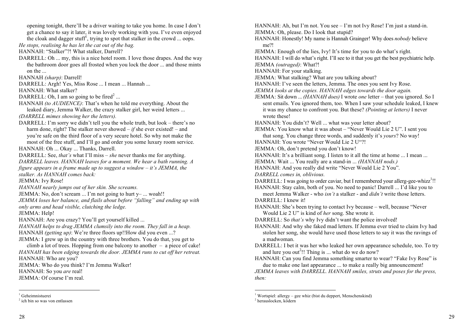opening tonight, there'll be a driver waiting to take you home. In case I don't get a chance to say it later, it was lovely working with you. I've even enjoyed the cloak and dagger stuff<sup>1</sup>, trying to spot that stalker in the crowd ... oops. *He stops, realising he has let the cat out of the bag.* 

HANNAH: "Stalker"?! What stalker, Darrell?

DARRELL: Oh ... my, this is a nice hotel room. I love those drapes. And the way the bathroom door goes all frosted when you lock the door ... and those mints on the ...

HANNAH *(sharp)*: Darrell!

DARRELL: Argh! Yes, Miss Rose ... I mean ... Hannah ...

HANNAH: What stalker?

DARRELL: Oh, I am so going to be fired<sup>2</sup>...

HANNAH *(to AUDIENCE)*: That's when he told me everything. About the leaked diary, Jemma Walker, the crazy stalker girl, her weird letters ...

*(DARRELL mimes showing her the letters).* 

DARRELL: I'm sorry we didn't tell you the whole truth, but look – there's no harm done, right? The stalker never showed – *if* she ever existed! – and you're safe on the third floor of a very secure hotel. So why not make the most of the free stuff, and I'll go and order you some luxury room service.

HANNAH: Oh ... Okay ... Thanks, Darrell.

DARRELL: See, *that's* what I'll miss – *she* never thanks me for anything.

*DARRELL leaves. HANNAH leaves for a moment. We hear a bath running. A figure appears in a frame made up to suggest a window – it's JEMMA, the stalker. As HANNAH comes back:*

JEMMA: Ivy Rose!

*HANNAH nearly jumps out of her skin. She screams.* 

JEMMA: No, don't scream ... I'm not going to hurt  $y-$  ... woah!!

*JEMMA loses her balance, and flails about before "falling" and ending up with only arms and head visible, clutching the ledge.*

JEMMA: Help!

HANNAH: Are you crazy? You'll get yourself killed ...

*HANNAH helps to drag JEMMA clumsily into the room. They fall in a heap.*  HANNAH *(getting up)*: We're three floors up!!How did you even ...?

JEMMA: I grew up in the country with three brothers. You do that, you get to

climb a lot of trees. Hopping from one balcony to another – a piece of cake! *HANNAH has been edging towards the door. JEMMA runs to cut off her retreat.* HANNAH: Who are you?

JEMMA: Who do you think? I'm Jemma Walker! HANNAH: So you *are* real!

JEMMA: Of course I'm real.

HANNAH: Ah, but I'm not. You see – I'm not Ivy Rose! I'm just a stand-in. JEMMA: Oh, please. Do I look that stupid?

HANNAH: Honestly! My name is Hannah Grainger! Why does *nobody* believe me?!

JEMMA: Enough of the lies, Ivy! It's time for you to do what's right.

HANNAH: I will do what's right. I'll see to it that you get the best psychiatric help.

JEMMA *(outraged)*: What?!

HANNAH: For your stalking.

- JEMMA: What stalking? What are you talking about?
- HANNAH: I've seen the letters, Jemma. The ones you sent Ivy Rose.
- *JEMMA looks at the copies. HANNAH edges towards the door again.*
- JEMMA: Sit down ... *(HANNAH does)* I wrote *one* letter that you ignored. So I sent emails. You ignored them, too. When I saw your schedule leaked, I knew it was my chance to confront you. But these? *(Pointing at letters)* I never wrote these!

HANNAH: You didn't? Well ... what was your letter about?

JEMMA: You know what it was about – "Never Would Lie 2 U". I sent you

that song. You change three words, and suddenly it's *yours*? No way!

HANNAH: You wrote "Never Would Lie 2 U"?!

JEMMA: Oh, don't pretend you don't know!

HANNAH: It's a brilliant song. I listen to it all the time at home ... I mean ...

- JEMMA: Wait ... You really are a stand-in ... *(HANNAH nods.)*
- HANNAH: And you really did write "Never Would Lie 2 You".

*DARRELL comes in, oblivious.*

DARRELL: I was going to order caviar, but I remembered your allerg-gee-whizz<sup>1</sup>!! HANNAH: Stay calm, both of you. No need to panic! Darrell ... I'd like you to

meet Jemma Walker - who *isn't* a stalker - and *didn't* write those letters. DARRELL: I knew it!

HANNAH: She's been trying to contact Ivy because – well, because "Never Would Lie 2 U" is kind of *her* song. She wrote it.

DARRELL: So *that's* why Ivy didn't want the police involved!

- HANNAH: And why she faked mad letters. If Jemma ever tried to claim Ivy had stolen her song, she would have used those letters to say it was the ravings of a madwoman.
- DARRELL: I bet it was her who leaked her own appearance schedule, too. To try and lure you out<sup>2</sup>!! Thing is ... what do we do now?

HANNAH: Can you find Jemma something smarter to wear? "Fake Ivy Rose" is due to make one last appearance ... to make a really big announcement!

*JEMMA leaves with DARRELL. HANNAH smiles, struts and poses for the press, then:* 

<sup>&</sup>lt;sup>1</sup> Geheimnistuerei

<sup>2</sup> ich bin so was von entlassen

<sup>&</sup>lt;sup>1</sup> Wortspiel: allergy – gee whiz (bist du deppert, Menschenskind)<sup>2</sup> herauslocken, ködern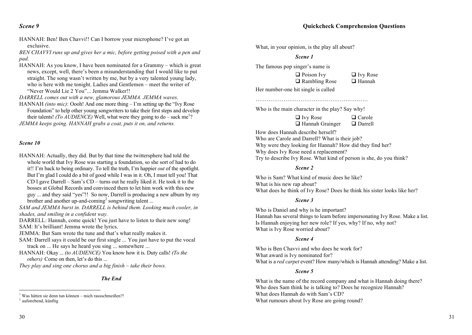*Scene 9*

HANNAH: Ben! Ben Chavvi!! Can I borrow your microphone? I've got an exclusive.

*BEN CHAVVI runs up and gives her a mic, before getting poised with a pen and pad.*

HANNAH: As you know, I have been nominated for a Grammy – which is great news, except, well, there's been a misunderstanding that I would like to put straight. The song wasn't written by me, but by a very talented young lady, who is here with me tonight. Ladies and Gentlemen – meet the writer of "Never Would Lie 2 You". Jemma Walker!!

*DARRELL comes out with a new, glamorous JEMMA. JEMMA waves.*

HANNAH *(into mic)*: Oooh! And one more thing – I'm setting up the "Ivy Rose Foundation" to help other young songwriters to take their first steps and develop their talents! *(To AUDIENCE)* Well, what were they going to do – sack me<sup>1</sup>?

*JEMMA keeps going. HANNAH grabs a coat, puts it on, and returns.* 

### *Scene 10*

HANNAH: Actually, they did. But by that time the twittersphere had told the whole world that Ivy Rose was starting a foundation, so she sort of had to do it!! I'm back to being ordinary. To tell the truth, I'm happier *out* of the spotlight. But I'm glad I could do a bit of good while I was in it. Oh, I must tell you! That CD I gave Darrell – Sam's CD – turns out he really liked it. He took it to the bosses at Global Records and convinced them to let him work with this new guy ... and they said "yes"!! So now, Darrell is producing a new album by my brother and another up-and-coming<sup>2</sup> songwriting talent ...

*SAM and JEMMA burst in. DARRELL is behind them. Looking much cooler, in shades, and smiling in a confident way.* 

DARRELL: Hannah, come quick! You just have to listen to their new song! SAM: It's brilliant! Jemma wrote the lyrics.

JEMMA: But Sam wrote the tune and that's what really makes it.

- SAM: Darrell says it could be our first single ... You just have to put the vocal track on ... He says he heard you sing ... somewhere ...
- HANNAH: Okay ... *(to AUDIENCE)* You know how it is. Duty calls! *(To the others*) Come on then, let's do this ...

*They play and sing one chorus and a big finish – take their bows.*

*The End*

## **Quickcheck Comprehension Questions**

What, in your opinion, is the play all about?

**Scene 1** 

The famous pop singer's name is

 $\Box$  Ivy Rose  $\Box$  Rambling Rose  $\Box$  Hannah  $\Box$  Poison Ivy  $\Box$  Ivy Rose  $\Box$  Rambling Rose  $\Box$  Hannah

Her number-one hit single is called

Who is the main character in the play? Say why! ……………………………………………………

Who is the main character in the play? Say why!

 $\mathbf{H} \cdot \mathbf{D} \cdot \mathbf{D} \cdot \mathbf{D} \cdot \mathbf{D} \cdot \mathbf{D} \cdot \mathbf{D} \cdot \mathbf{D} \cdot \mathbf{D} \cdot \mathbf{D} \cdot \mathbf{D} \cdot \mathbf{D} \cdot \mathbf{D} \cdot \mathbf{D} \cdot \mathbf{D} \cdot \mathbf{D} \cdot \mathbf{D} \cdot \mathbf{D} \cdot \mathbf{D} \cdot \mathbf{D} \cdot \mathbf{D} \cdot \mathbf{D} \cdot \mathbf{D} \cdot \mathbf{D} \cdot \mathbf{D} \cdot \mathbf{D} \cdot \mathbf{D} \cdot \mathbf{$  $\Box$  Hannah Grainger  $\Box$  Darrell  $\Box$  Ivy Rose  $\Box$  Carole

How does Hannah describe herself? Where the theorem is the theorem  $\epsilon$  in the form of the theorem for  $\epsilon$  find her? Who are Carole and Darrell? What is their job? Why were they looking for Hannah? How did they find her? Try to describe Ivy Rose. What kind of person is she, do you think? Why does Ivy Rose need a replacement?

### **Scene 2**

 $\ddot{C}$  on  $\ddot{C}$ Who is Sam? What kind of music does he like? What does he think of Ivy Rose? Does he think his sister looks like her? What is his new rap about?

### **Scene 3**

Who is Daniel and why is he important? It is Daniel and why is new potential  $\ell$ Hannah has several things to learn before impersonating Ivy Rose. Make a list. What is Ivy Rose worried about? Is Hannah enjoying her new role? If yes, why? If no, why not?

### **Scene 4**

 $\mathbb{R}^n$  and  $\mathbb{R}^n$  is  $\mathbb{R}^n$  not in the form of  $\mathbb{R}^n$ Who is Ben Chavvi and who does he work for? What is a *red carpet* event? How many/which is Hannah attending? Make a list. What award is Ivy nominated for?

### $S$ cene 5 *Scene 5*

Who does Sam think he is talking to? Does he recognize Hannah? What is the name of the record company and what is Hannah doing there? Who does Sam think he is talking to? Does he recognize Hannah? What rumours about Ivy Rose are going round? What does Hannah do with Sam's CD?

<sup>&</sup>lt;sup>1</sup> Was hätten sie denn tun können – mich rausschmeißen?!<br><sup>2</sup> aufstrebend, künftig